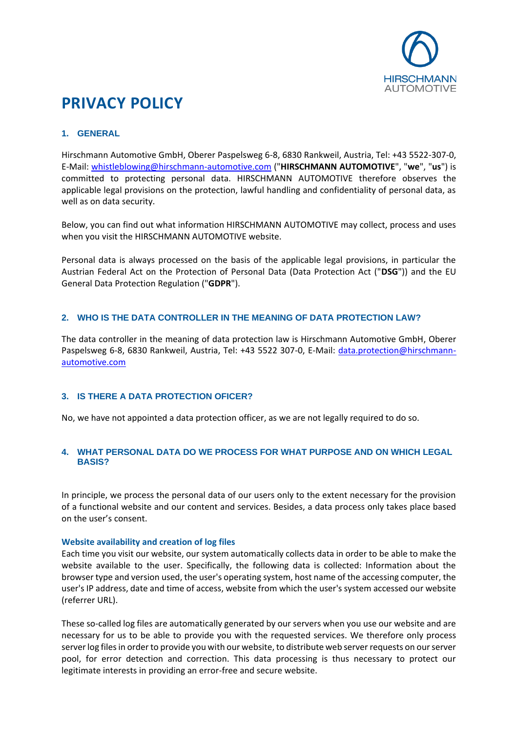

# **PRIVACY POLICY**

# **1. GENERAL**

Hirschmann Automotive GmbH, Oberer Paspelsweg 6-8, 6830 Rankweil, Austria, Tel: +43 5522-307-0, E-Mail: [whistleblowing@hirschmann-automotive.com](mailto:whistleblowing@hirschmann-automotive.com) ("**HIRSCHMANN AUTOMOTIVE**", "**we**", "**us**") is committed to protecting personal data. HIRSCHMANN AUTOMOTIVE therefore observes the applicable legal provisions on the protection, lawful handling and confidentiality of personal data, as well as on data security.

Below, you can find out what information HIRSCHMANN AUTOMOTIVE may collect, process and uses when you visit the HIRSCHMANN AUTOMOTIVE website.

Personal data is always processed on the basis of the applicable legal provisions, in particular the Austrian Federal Act on the Protection of Personal Data (Data Protection Act ("**DSG**")) and the EU General Data Protection Regulation ("**GDPR**").

# **2. WHO IS THE DATA CONTROLLER IN THE MEANING OF DATA PROTECTION LAW?**

The data controller in the meaning of data protection law is Hirschmann Automotive GmbH, Oberer Paspelsweg 6-8, 6830 Rankweil, Austria, Tel: +43 5522 307-0, E-Mail: [data.protection@hirschmann](mailto:data.protection@hirschmann-automotive.com)[automotive.com](mailto:data.protection@hirschmann-automotive.com)

## **3. IS THERE A DATA PROTECTION OFICER?**

No, we have not appointed a data protection officer, as we are not legally required to do so.

# **4. WHAT PERSONAL DATA DO WE PROCESS FOR WHAT PURPOSE AND ON WHICH LEGAL BASIS?**

In principle, we process the personal data of our users only to the extent necessary for the provision of a functional website and our content and services. Besides, a data process only takes place based on the user's consent.

## **Website availability and creation of log files**

Each time you visit our website, our system automatically collects data in order to be able to make the website available to the user. Specifically, the following data is collected: Information about the browser type and version used, the user's operating system, host name of the accessing computer, the user's IP address, date and time of access, website from which the user's system accessed our website (referrer URL).

These so-called log files are automatically generated by our servers when you use our website and are necessary for us to be able to provide you with the requested services. We therefore only process server log files in order to provide you with our website, to distribute web server requests on our server pool, for error detection and correction. This data processing is thus necessary to protect our legitimate interests in providing an error-free and secure website.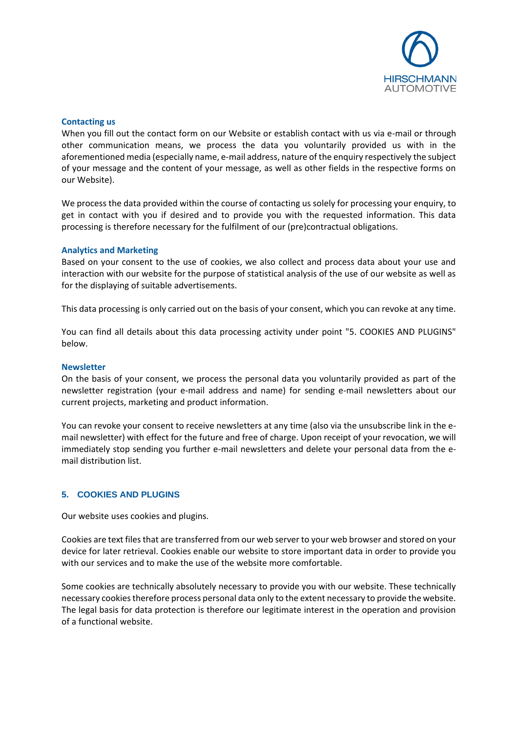

#### **Contacting us**

When you fill out the contact form on our Website or establish contact with us via e-mail or through other communication means, we process the data you voluntarily provided us with in the aforementioned media (especially name, e-mail address, nature of the enquiry respectively the subject of your message and the content of your message, as well as other fields in the respective forms on our Website).

We process the data provided within the course of contacting us solely for processing your enquiry, to get in contact with you if desired and to provide you with the requested information. This data processing is therefore necessary for the fulfilment of our (pre)contractual obligations.

#### **Analytics and Marketing**

Based on your consent to the use of cookies, we also collect and process data about your use and interaction with our website for the purpose of statistical analysis of the use of our website as well as for the displaying of suitable advertisements.

This data processing is only carried out on the basis of your consent, which you can revoke at any time.

You can find all details about this data processing activity under point "5. COOKIES AND PLUGINS" below.

#### **Newsletter**

On the basis of your consent, we process the personal data you voluntarily provided as part of the newsletter registration (your e-mail address and name) for sending e-mail newsletters about our current projects, marketing and product information.

You can revoke your consent to receive newsletters at any time (also via the unsubscribe link in the email newsletter) with effect for the future and free of charge. Upon receipt of your revocation, we will immediately stop sending you further e-mail newsletters and delete your personal data from the email distribution list.

## **5. COOKIES AND PLUGINS**

Our website uses cookies and plugins.

Cookies are text files that are transferred from our web server to your web browser and stored on your device for later retrieval. Cookies enable our website to store important data in order to provide you with our services and to make the use of the website more comfortable.

Some cookies are technically absolutely necessary to provide you with our website. These technically necessary cookiestherefore process personal data only to the extent necessary to provide the website. The legal basis for data protection is therefore our legitimate interest in the operation and provision of a functional website.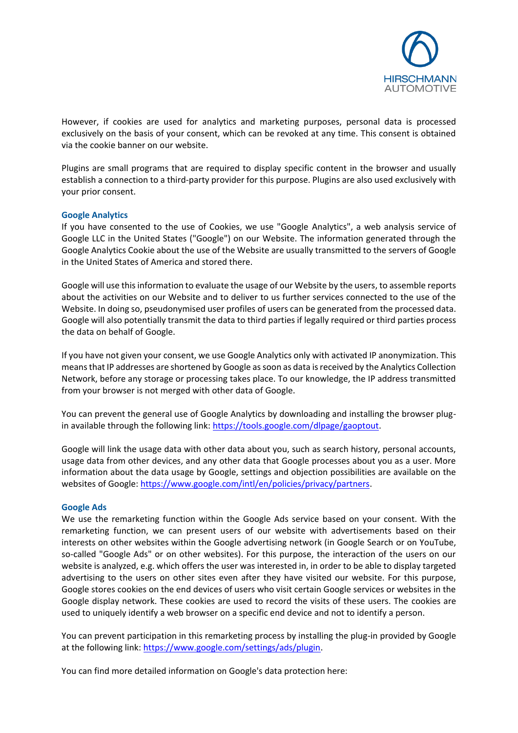

However, if cookies are used for analytics and marketing purposes, personal data is processed exclusively on the basis of your consent, which can be revoked at any time. This consent is obtained via the cookie banner on our website.

Plugins are small programs that are required to display specific content in the browser and usually establish a connection to a third-party provider for this purpose. Plugins are also used exclusively with your prior consent.

#### **Google Analytics**

If you have consented to the use of Cookies, we use "Google Analytics", a web analysis service of Google LLC in the United States ("Google") on our Website. The information generated through the Google Analytics Cookie about the use of the Website are usually transmitted to the servers of Google in the United States of America and stored there.

Google will use this information to evaluate the usage of our Website by the users, to assemble reports about the activities on our Website and to deliver to us further services connected to the use of the Website. In doing so, pseudonymised user profiles of users can be generated from the processed data. Google will also potentially transmit the data to third parties if legally required or third parties process the data on behalf of Google.

If you have not given your consent, we use Google Analytics only with activated IP anonymization. This means that IP addresses are shortened by Google as soon as data is received by the Analytics Collection Network, before any storage or processing takes place. To our knowledge, the IP address transmitted from your browser is not merged with other data of Google.

You can prevent the general use of Google Analytics by downloading and installing the browser plugin available through the following link: [https://tools.google.com/dlpage/gaoptout.](https://tools.google.com/dlpage/gaoptout)

Google will link the usage data with other data about you, such as search history, personal accounts, usage data from other devices, and any other data that Google processes about you as a user. More information about the data usage by Google, settings and objection possibilities are available on the websites of Google[: https://www.google.com/intl/en/policies/privacy/partners.](https://www.google.com/intl/en/policies/privacy/partners)

#### **Google Ads**

We use the remarketing function within the Google Ads service based on your consent. With the remarketing function, we can present users of our website with advertisements based on their interests on other websites within the Google advertising network (in Google Search or on YouTube, so-called "Google Ads" or on other websites). For this purpose, the interaction of the users on our website is analyzed, e.g. which offers the user was interested in, in order to be able to display targeted advertising to the users on other sites even after they have visited our website. For this purpose, Google stores cookies on the end devices of users who visit certain Google services or websites in the Google display network. These cookies are used to record the visits of these users. The cookies are used to uniquely identify a web browser on a specific end device and not to identify a person.

You can prevent participation in this remarketing process by installing the plug-in provided by Google at the following link: [https://www.google.com/settings/ads/plugin.](https://www.google.com/settings/ads/plugin)

You can find more detailed information on Google's data protection here: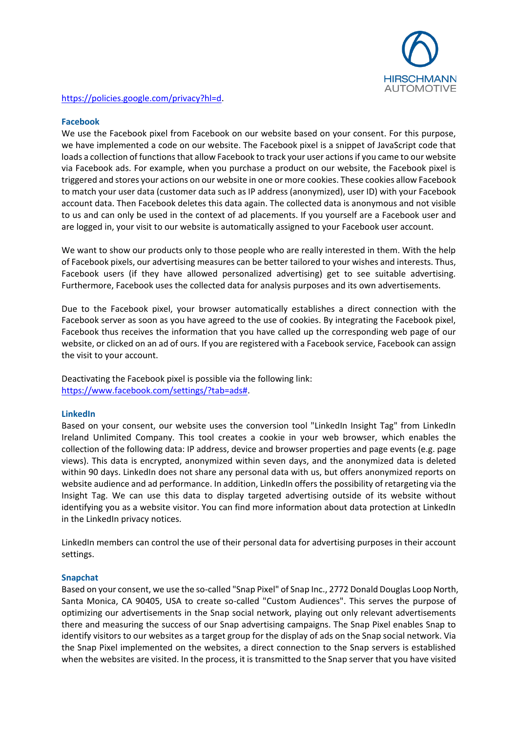

## [https://policies.google.com/privacy?hl=d.](https://policies.google.com/privacy?hl=d)

## **Facebook**

We use the Facebook pixel from Facebook on our website based on your consent. For this purpose, we have implemented a code on our website. The Facebook pixel is a snippet of JavaScript code that loads a collection of functions that allow Facebook to track your user actions if you came to our website via Facebook ads. For example, when you purchase a product on our website, the Facebook pixel is triggered and stores your actions on our website in one or more cookies. These cookies allow Facebook to match your user data (customer data such as IP address (anonymized), user ID) with your Facebook account data. Then Facebook deletes this data again. The collected data is anonymous and not visible to us and can only be used in the context of ad placements. If you yourself are a Facebook user and are logged in, your visit to our website is automatically assigned to your Facebook user account.

We want to show our products only to those people who are really interested in them. With the help of Facebook pixels, our advertising measures can be better tailored to your wishes and interests. Thus, Facebook users (if they have allowed personalized advertising) get to see suitable advertising. Furthermore, Facebook uses the collected data for analysis purposes and its own advertisements.

Due to the Facebook pixel, your browser automatically establishes a direct connection with the Facebook server as soon as you have agreed to the use of cookies. By integrating the Facebook pixel, Facebook thus receives the information that you have called up the corresponding web page of our website, or clicked on an ad of ours. If you are registered with a Facebook service, Facebook can assign the visit to your account.

Deactivating the Facebook pixel is possible via the following link: [https://www.facebook.com/settings/?tab=ads#.](https://www.facebook.com/settings/?tab=ads)

## **LinkedIn**

Based on your consent, our website uses the conversion tool "LinkedIn Insight Tag" from LinkedIn Ireland Unlimited Company. This tool creates a cookie in your web browser, which enables the collection of the following data: IP address, device and browser properties and page events (e.g. page views). This data is encrypted, anonymized within seven days, and the anonymized data is deleted within 90 days. LinkedIn does not share any personal data with us, but offers anonymized reports on website audience and ad performance. In addition, LinkedIn offers the possibility of retargeting via the Insight Tag. We can use this data to display targeted advertising outside of its website without identifying you as a website visitor. You can find more information about data protection at LinkedIn in the LinkedIn privacy notices.

LinkedIn members can control the use of their personal data for advertising purposes in their account settings.

#### **Snapchat**

Based on your consent, we use the so-called "Snap Pixel" of Snap Inc., 2772 Donald Douglas Loop North, Santa Monica, CA 90405, USA to create so-called "Custom Audiences". This serves the purpose of optimizing our advertisements in the Snap social network, playing out only relevant advertisements there and measuring the success of our Snap advertising campaigns. The Snap Pixel enables Snap to identify visitors to our websites as a target group for the display of ads on the Snap social network. Via the Snap Pixel implemented on the websites, a direct connection to the Snap servers is established when the websites are visited. In the process, it is transmitted to the Snap server that you have visited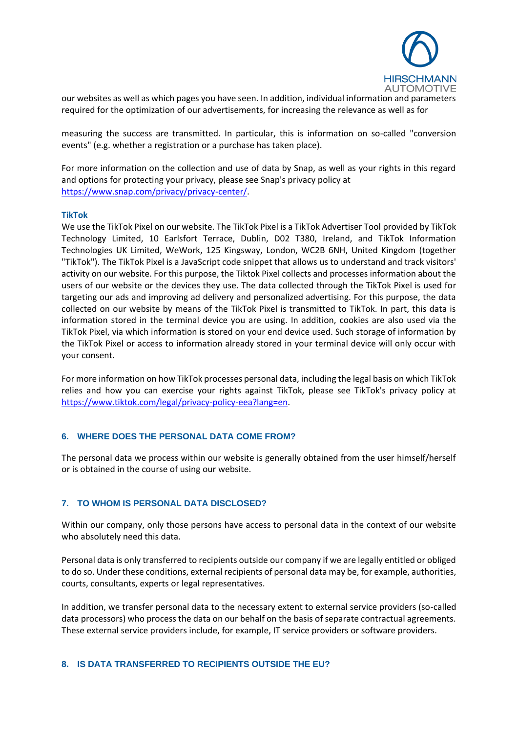

our websites as well as which pages you have seen. In addition, individual information and parameters required for the optimization of our advertisements, for increasing the relevance as well as for

measuring the success are transmitted. In particular, this is information on so-called "conversion events" (e.g. whether a registration or a purchase has taken place).

For more information on the collection and use of data by Snap, as well as your rights in this regard and options for protecting your privacy, please see Snap's privacy policy at [https://www.snap.com/privacy/privacy-center/.](https://www.snap.com/privacy/privacy-center/)

#### **TikTok**

We use the TikTok Pixel on our website. The TikTok Pixel is a TikTok Advertiser Tool provided by TikTok Technology Limited, 10 Earlsfort Terrace, Dublin, D02 T380, Ireland, and TikTok Information Technologies UK Limited, WeWork, 125 Kingsway, London, WC2B 6NH, United Kingdom (together "TikTok"). The TikTok Pixel is a JavaScript code snippet that allows us to understand and track visitors' activity on our website. For this purpose, the Tiktok Pixel collects and processes information about the users of our website or the devices they use. The data collected through the TikTok Pixel is used for targeting our ads and improving ad delivery and personalized advertising. For this purpose, the data collected on our website by means of the TikTok Pixel is transmitted to TikTok. In part, this data is information stored in the terminal device you are using. In addition, cookies are also used via the TikTok Pixel, via which information is stored on your end device used. Such storage of information by the TikTok Pixel or access to information already stored in your terminal device will only occur with your consent.

For more information on how TikTok processes personal data, including the legal basis on which TikTok relies and how you can exercise your rights against TikTok, please see TikTok's privacy policy at [https://www.tiktok.com/legal/privacy-policy-eea?lang=en.](https://www.tiktok.com/legal/privacy-policy-eea?lang=en)

## **6. WHERE DOES THE PERSONAL DATA COME FROM?**

The personal data we process within our website is generally obtained from the user himself/herself or is obtained in the course of using our website.

## **7. TO WHOM IS PERSONAL DATA DISCLOSED?**

Within our company, only those persons have access to personal data in the context of our website who absolutely need this data.

Personal data is only transferred to recipients outside our company if we are legally entitled or obliged to do so. Under these conditions, external recipients of personal data may be, for example, authorities, courts, consultants, experts or legal representatives.

In addition, we transfer personal data to the necessary extent to external service providers (so-called data processors) who process the data on our behalf on the basis of separate contractual agreements. These external service providers include, for example, IT service providers or software providers.

#### **8. IS DATA TRANSFERRED TO RECIPIENTS OUTSIDE THE EU?**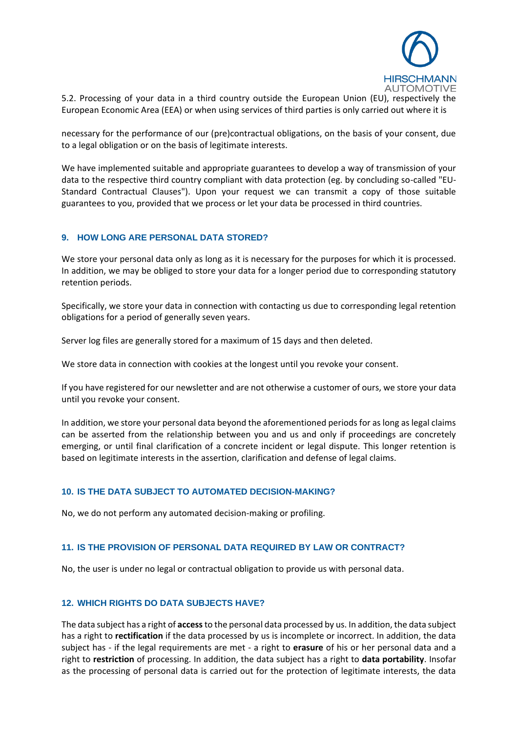

5.2. Processing of your data in a third country outside the European Union (EU), respectively the European Economic Area (EEA) or when using services of third parties is only carried out where it is

necessary for the performance of our (pre)contractual obligations, on the basis of your consent, due to a legal obligation or on the basis of legitimate interests.

We have implemented suitable and appropriate guarantees to develop a way of transmission of your data to the respective third country compliant with data protection (eg. by concluding so-called "EU-Standard Contractual Clauses"). Upon your request we can transmit a copy of those suitable guarantees to you, provided that we process or let your data be processed in third countries.

## **9. HOW LONG ARE PERSONAL DATA STORED?**

We store your personal data only as long as it is necessary for the purposes for which it is processed. In addition, we may be obliged to store your data for a longer period due to corresponding statutory retention periods.

Specifically, we store your data in connection with contacting us due to corresponding legal retention obligations for a period of generally seven years.

Server log files are generally stored for a maximum of 15 days and then deleted.

We store data in connection with cookies at the longest until you revoke your consent.

If you have registered for our newsletter and are not otherwise a customer of ours, we store your data until you revoke your consent.

In addition, we store your personal data beyond the aforementioned periods for as long as legal claims can be asserted from the relationship between you and us and only if proceedings are concretely emerging, or until final clarification of a concrete incident or legal dispute. This longer retention is based on legitimate interests in the assertion, clarification and defense of legal claims.

# **10. IS THE DATA SUBJECT TO AUTOMATED DECISION-MAKING?**

No, we do not perform any automated decision-making or profiling.

## **11. IS THE PROVISION OF PERSONAL DATA REQUIRED BY LAW OR CONTRACT?**

No, the user is under no legal or contractual obligation to provide us with personal data.

## **12. WHICH RIGHTS DO DATA SUBJECTS HAVE?**

The data subject has a right of **access**to the personal data processed by us. In addition, the data subject has a right to **rectification** if the data processed by us is incomplete or incorrect. In addition, the data subject has - if the legal requirements are met - a right to **erasure** of his or her personal data and a right to **restriction** of processing. In addition, the data subject has a right to **data portability**. Insofar as the processing of personal data is carried out for the protection of legitimate interests, the data